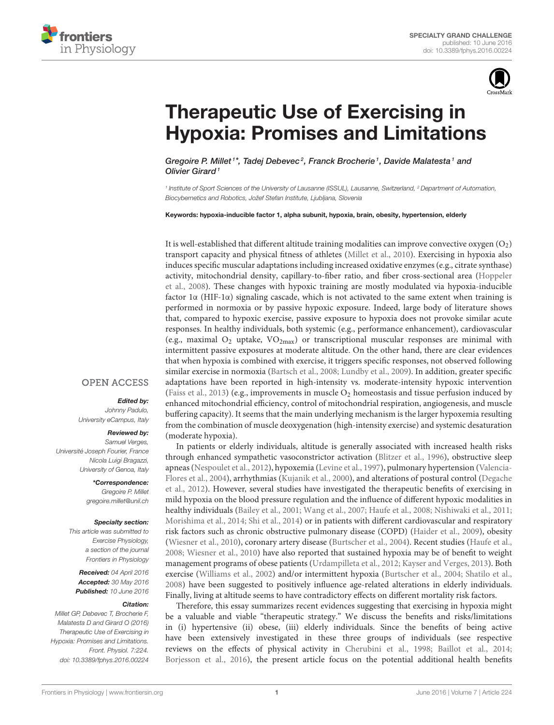



# Therapeutic Use of Exercising in [Hypoxia: Promises and Limitations](http://journal.frontiersin.org/article/10.3389/fphys.2016.00224/abstract)

[Gregoire P. Millet](http://loop.frontiersin.org/people/56036/overview)<sup>1\*</sup>, [Tadej Debevec](http://loop.frontiersin.org/people/266300/overview)<sup>2</sup>, [Franck Brocherie](http://loop.frontiersin.org/people/203661/overview)<sup>1</sup>, [Davide Malatesta](http://loop.frontiersin.org/people/266625/overview)<sup>1</sup> and Olivier Girard<sup>1</sup>

1 Institute of Sport Sciences of the University of Lausanne (ISSUL), Lausanne, Switzerland, <sup>2</sup> Department of Automation, Biocybernetics and Robotics, Jožef Stefan Institute, Ljubljana, Slovenia

Keywords: hypoxia-inducible factor 1, alpha subunit, hypoxia, brain, obesity, hypertension, elderly

It is well-established that different altitude training modalities can improve convective oxygen  $(O_2)$ transport capacity and physical fitness of athletes [\(Millet et al., 2010\)](#page-3-0). Exercising in hypoxia also induces specific muscular adaptations including increased oxidative enzymes (e.g., citrate synthase) activity, mitochondrial density, capillary-to-fiber ratio, and fiber cross-sectional area (Hoppeler et al., [2008\)](#page-3-1). These changes with hypoxic training are mostly modulated via hypoxia-inducible factor  $1\alpha$  (HIF-1 $\alpha$ ) signaling cascade, which is not activated to the same extent when training is performed in normoxia or by passive hypoxic exposure. Indeed, large body of literature shows that, compared to hypoxic exercise, passive exposure to hypoxia does not provoke similar acute responses. In healthy individuals, both systemic (e.g., performance enhancement), cardiovascular (e.g., maximal  $O_2$  uptake,  $VO_{2max}$ ) or transcriptional muscular responses are minimal with intermittent passive exposures at moderate altitude. On the other hand, there are clear evidences that when hypoxia is combined with exercise, it triggers specific responses, not observed following similar exercise in normoxia [\(Bartsch et al., 2008;](#page-2-0) [Lundby et al., 2009\)](#page-3-2). In addition, greater specific adaptations have been reported in high-intensity vs. moderate-intensity hypoxic intervention [\(Faiss et al., 2013\)](#page-2-1) (e.g., improvements in muscle  $O_2$  homeostasis and tissue perfusion induced by enhanced mitochondrial efficiency, control of mitochondrial respiration, angiogenesis, and muscle buffering capacity). It seems that the main underlying mechanism is the larger hypoxemia resulting from the combination of muscle deoxygenation (high-intensity exercise) and systemic desaturation (moderate hypoxia).

In patients or elderly individuals, altitude is generally associated with increased health risks through enhanced sympathetic vasoconstrictor activation [\(Blitzer et al., 1996\)](#page-2-2), obstructive sleep apneas [\(Nespoulet et al., 2012\)](#page-3-3), hypoxemia [\(Levine et al., 1997\)](#page-3-4), pulmonary hypertension (Valencia-Flores et al., [2004\)](#page-3-5), arrhythmias [\(Kujanik et al., 2000\)](#page-3-6), and alterations of postural control (Degache et al., [2012\)](#page-2-3). However, several studies have investigated the therapeutic benefits of exercising in mild hypoxia on the blood pressure regulation and the influence of different hypoxic modalities in healthy individuals [\(Bailey et al., 2001;](#page-2-4) [Wang et al., 2007;](#page-3-7) [Haufe et al., 2008;](#page-2-5) [Nishiwaki et al., 2011;](#page-3-8) [Morishima et al., 2014;](#page-3-9) [Shi et al., 2014\)](#page-3-10) or in patients with different cardiovascular and respiratory risk factors such as chronic obstructive pulmonary disease (COPD) [\(Haider et al., 2009\)](#page-2-6), obesity [\(Wiesner et al., 2010\)](#page-3-11), coronary artery disease [\(Burtscher et al., 2004\)](#page-2-7). Recent studies [\(Haufe et al.,](#page-2-5) [2008;](#page-2-5) [Wiesner et al., 2010\)](#page-3-11) have also reported that sustained hypoxia may be of benefit to weight management programs of obese patients [\(Urdampilleta et al., 2012;](#page-3-12) [Kayser and Verges, 2013\)](#page-3-13). Both exercise [\(Williams et al., 2002\)](#page-3-14) and/or intermittent hypoxia [\(Burtscher et al., 2004;](#page-2-7) [Shatilo et al.,](#page-3-15) [2008\)](#page-3-15) have been suggested to positively influence age-related alterations in elderly individuals. Finally, living at altitude seems to have contradictory effects on different mortality risk factors.

Therefore, this essay summarizes recent evidences suggesting that exercising in hypoxia might be a valuable and viable "therapeutic strategy." We discuss the benefits and risks/limitations in (i) hypertensive (ii) obese, (iii) elderly individuals. Since the benefits of being active have been extensively investigated in these three groups of individuals (see respective reviews on the effects of physical activity in [Cherubini et al., 1998;](#page-2-8) [Baillot et al., 2014;](#page-2-9) [Borjesson et al., 2016\)](#page-2-10), the present article focus on the potential additional health benefits

#### **OPEN ACCESS**

#### Edited by:

Johnny Padulo, University eCampus, Italy

#### Reviewed by:

Samuel Verges, Université Joseph Fourier, France Nicola Luigi Bragazzi, University of Genoa, Italy

> \*Correspondence: Gregoire P. Millet [gregoire.millet@unil.ch](mailto:gregoire.millet@unil.ch)

#### Specialty section:

This article was submitted to Exercise Physiology, a section of the journal Frontiers in Physiology

Received: 04 April 2016 Accepted: 30 May 2016 Published: 10 June 2016

#### Citation:

Millet GP, Debevec T, Brocherie F, Malatesta D and Girard O (2016) Therapeutic Use of Exercising in Hypoxia: Promises and Limitations. Front. Physiol. 7:224. doi: [10.3389/fphys.2016.00224](http://dx.doi.org/10.3389/fphys.2016.00224)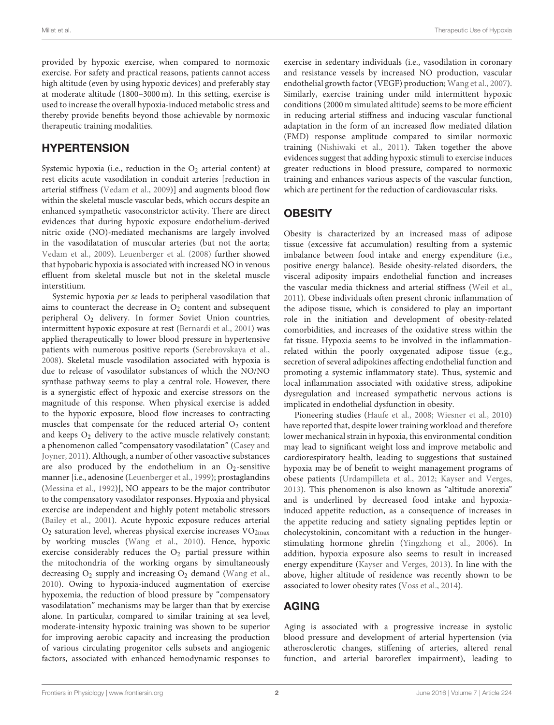provided by hypoxic exercise, when compared to normoxic exercise. For safety and practical reasons, patients cannot access high altitude (even by using hypoxic devices) and preferably stay at moderate altitude (1800–3000 m). In this setting, exercise is used to increase the overall hypoxia-induced metabolic stress and thereby provide benefits beyond those achievable by normoxic therapeutic training modalities.

## **HYPERTENSION**

Systemic hypoxia (i.e., reduction in the  $O_2$  arterial content) at rest elicits acute vasodilation in conduit arteries [reduction in arterial stiffness [\(Vedam et al., 2009\)](#page-3-16)] and augments blood flow within the skeletal muscle vascular beds, which occurs despite an enhanced sympathetic vasoconstrictor activity. There are direct evidences that during hypoxic exposure endothelium-derived nitric oxide (NO)-mediated mechanisms are largely involved in the vasodilatation of muscular arteries (but not the aorta; [Vedam et al., 2009\)](#page-3-16). [Leuenberger et al. \(2008\)](#page-3-17) further showed that hypobaric hypoxia is associated with increased NO in venous effluent from skeletal muscle but not in the skeletal muscle interstitium.

Systemic hypoxia per se leads to peripheral vasodilation that aims to counteract the decrease in  $O_2$  content and subsequent peripheral O<sub>2</sub> delivery. In former Soviet Union countries, intermittent hypoxic exposure at rest [\(Bernardi et al., 2001\)](#page-2-11) was applied therapeutically to lower blood pressure in hypertensive patients with numerous positive reports [\(Serebrovskaya et al.,](#page-3-18) [2008\)](#page-3-18). Skeletal muscle vasodilation associated with hypoxia is due to release of vasodilator substances of which the NO/NO synthase pathway seems to play a central role. However, there is a synergistic effect of hypoxic and exercise stressors on the magnitude of this response. When physical exercise is added to the hypoxic exposure, blood flow increases to contracting muscles that compensate for the reduced arterial  $O_2$  content and keeps  $O_2$  delivery to the active muscle relatively constant; a phenomenon called "compensatory vasodilatation" (Casey and Joyner, [2011\)](#page-2-12). Although, a number of other vasoactive substances are also produced by the endothelium in an  $O_2$ -sensitive manner [i.e., adenosine [\(Leuenberger et al., 1999\)](#page-3-19); prostaglandins [\(Messina et al., 1992\)](#page-3-20)], NO appears to be the major contributor to the compensatory vasodilator responses. Hypoxia and physical exercise are independent and highly potent metabolic stressors [\(Bailey et al., 2001\)](#page-2-4). Acute hypoxic exposure reduces arterial  $O_2$  saturation level, whereas physical exercise increases  $VO_{2max}$ by working muscles [\(Wang et al., 2010\)](#page-3-21). Hence, hypoxic exercise considerably reduces the O<sub>2</sub> partial pressure within the mitochondria of the working organs by simultaneously decreasing  $O_2$  supply and increasing  $O_2$  demand [\(Wang et al.,](#page-3-21) [2010\)](#page-3-21). Owing to hypoxia-induced augmentation of exercise hypoxemia, the reduction of blood pressure by "compensatory vasodilatation" mechanisms may be larger than that by exercise alone. In particular, compared to similar training at sea level, moderate-intensity hypoxic training was shown to be superior for improving aerobic capacity and increasing the production of various circulating progenitor cells subsets and angiogenic factors, associated with enhanced hemodynamic responses to

exercise in sedentary individuals (i.e., vasodilation in coronary and resistance vessels by increased NO production, vascular endothelial growth factor (VEGF) production; [Wang et al., 2007\)](#page-3-7). Similarly, exercise training under mild intermittent hypoxic conditions (2000 m simulated altitude) seems to be more efficient in reducing arterial stiffness and inducing vascular functional adaptation in the form of an increased flow mediated dilation (FMD) response amplitude compared to similar normoxic training [\(Nishiwaki et al., 2011\)](#page-3-8). Taken together the above evidences suggest that adding hypoxic stimuli to exercise induces greater reductions in blood pressure, compared to normoxic training and enhances various aspects of the vascular function, which are pertinent for the reduction of cardiovascular risks.

# **OBESITY**

Obesity is characterized by an increased mass of adipose tissue (excessive fat accumulation) resulting from a systemic imbalance between food intake and energy expenditure (i.e., positive energy balance). Beside obesity-related disorders, the visceral adiposity impairs endothelial function and increases the vascular media thickness and arterial stiffness [\(Weil et al.,](#page-3-22) [2011\)](#page-3-22). Obese individuals often present chronic inflammation of the adipose tissue, which is considered to play an important role in the initiation and development of obesity-related comorbidities, and increases of the oxidative stress within the fat tissue. Hypoxia seems to be involved in the inflammationrelated within the poorly oxygenated adipose tissue (e.g., secretion of several adipokines affecting endothelial function and promoting a systemic inflammatory state). Thus, systemic and local inflammation associated with oxidative stress, adipokine dysregulation and increased sympathetic nervous actions is implicated in endothelial dysfunction in obesity.

Pioneering studies [\(Haufe et al., 2008;](#page-2-5) [Wiesner et al., 2010\)](#page-3-11) have reported that, despite lower training workload and therefore lower mechanical strain in hypoxia, this environmental condition may lead to significant weight loss and improve metabolic and cardiorespiratory health, leading to suggestions that sustained hypoxia may be of benefit to weight management programs of obese patients [\(Urdampilleta et al., 2012;](#page-3-12) [Kayser and Verges,](#page-3-13) [2013\)](#page-3-13). This phenomenon is also known as "altitude anorexia" and is underlined by decreased food intake and hypoxiainduced appetite reduction, as a consequence of increases in the appetite reducing and satiety signaling peptides leptin or cholecystokinin, concomitant with a reduction in the hungerstimulating hormone ghrelin [\(Yingzhong et al., 2006\)](#page-3-23). In addition, hypoxia exposure also seems to result in increased energy expenditure [\(Kayser and Verges, 2013\)](#page-3-13). In line with the above, higher altitude of residence was recently shown to be associated to lower obesity rates [\(Voss et al., 2014\)](#page-3-24).

## AGING

Aging is associated with a progressive increase in systolic blood pressure and development of arterial hypertension (via atherosclerotic changes, stiffening of arteries, altered renal function, and arterial baroreflex impairment), leading to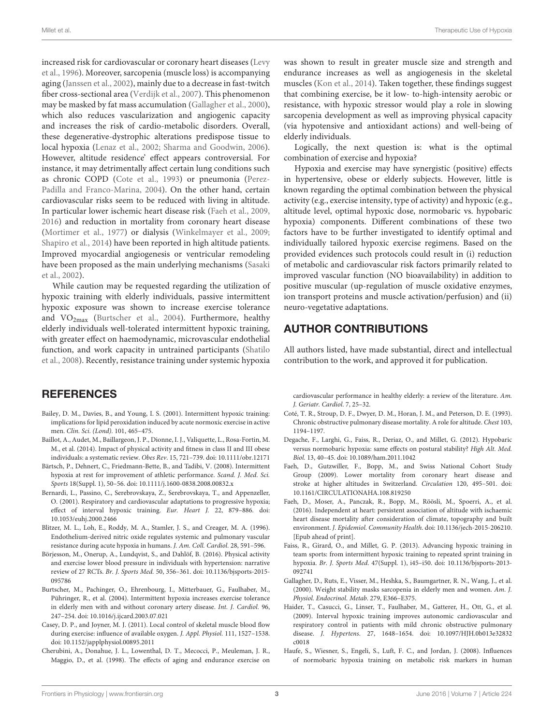increased risk for cardiovascular or coronary heart diseases (Levy et al., [1996\)](#page-3-25). Moreover, sarcopenia (muscle loss) is accompanying aging [\(Janssen et al., 2002\)](#page-3-26), mainly due to a decrease in fast-twitch fiber cross-sectional area [\(Verdijk et al., 2007\)](#page-3-27). This phenomenon may be masked by fat mass accumulation [\(Gallagher et al., 2000\)](#page-2-13), which also reduces vascularization and angiogenic capacity and increases the risk of cardio-metabolic disorders. Overall, these degenerative-dystrophic alterations predispose tissue to local hypoxia [\(Lenaz et al., 2002;](#page-3-28) [Sharma and Goodwin, 2006\)](#page-3-29). However, altitude residence' effect appears controversial. For instance, it may detrimentally affect certain lung conditions such as chronic COPD [\(Cote et al., 1993\)](#page-2-14) or pneumonia (Perez-Padilla and Franco-Marina, [2004\)](#page-3-30). On the other hand, certain cardiovascular risks seem to be reduced with living in altitude. In particular lower ischemic heart disease risk [\(Faeh et al., 2009,](#page-2-15) [2016\)](#page-2-16) and reduction in mortality from coronary heart disease [\(Mortimer et al., 1977\)](#page-3-31) or dialysis [\(Winkelmayer et al., 2009;](#page-3-32) [Shapiro et al., 2014\)](#page-3-33) have been reported in high altitude patients. Improved myocardial angiogenesis or ventricular remodeling have been proposed as the main underlying mechanisms (Sasaki et al., [2002\)](#page-3-34).

While caution may be requested regarding the utilization of hypoxic training with elderly individuals, passive intermittent hypoxic exposure was shown to increase exercise tolerance and VO<sub>2max</sub> [\(Burtscher et al., 2004\)](#page-2-7). Furthermore, healthy elderly individuals well-tolerated intermittent hypoxic training, with greater effect on haemodynamic, microvascular endothelial function, and work capacity in untrained participants (Shatilo et al., [2008\)](#page-3-15). Recently, resistance training under systemic hypoxia

### **REFERENCES**

- <span id="page-2-4"></span>Bailey, D. M., Davies, B., and Young, I. S. (2001). Intermittent hypoxic training: implications for lipid peroxidation induced by acute normoxic exercise in active men. Clin. Sci. (Lond). 101, 465–475.
- <span id="page-2-9"></span>Baillot, A., Audet, M., Baillargeon, J. P., Dionne, I. J., Valiquette, L., Rosa-Fortin, M. M., et al. (2014). Impact of physical activity and fitness in class II and III obese individuals: a systematic review. Obes Rev. 15, 721–739. doi: 10.1111/obr.12171
- <span id="page-2-0"></span>Bärtsch, P., Dehnert, C., Friedmann-Bette, B., and Tadibi, V. (2008). Intermittent hypoxia at rest for improvement of athletic performance. Scand. J. Med. Sci. Sports 18(Suppl. 1), 50–56. doi: 10.1111/j.1600-0838.2008.00832.x
- <span id="page-2-11"></span>Bernardi, L., Passino, C., Serebrovskaya, Z., Serebrovskaya, T., and Appenzeller, O. (2001). Respiratory and cardiovascular adaptations to progressive hypoxia; effect of interval hypoxic training. Eur. Heart J. 22, 879–886. doi: 10.1053/euhj.2000.2466
- <span id="page-2-2"></span>Blitzer, M. L., Loh, E., Roddy, M. A., Stamler, J. S., and Creager, M. A. (1996). Endothelium-derived nitric oxide regulates systemic and pulmonary vascular resistance during acute hypoxia in humans. J. Am. Coll. Cardiol. 28, 591–596.
- <span id="page-2-10"></span>Börjesson, M., Onerup, A., Lundqvist, S., and Dahlöf, B. (2016). Physical activity and exercise lower blood pressure in individuals with hypertension: narrative review of 27 RCTs. Br. J. Sports Med. 50, 356–361. doi: 10.1136/bjsports-2015- 095786
- <span id="page-2-7"></span>Burtscher, M., Pachinger, O., Ehrenbourg, I., Mitterbauer, G., Faulhaber, M., Pühringer, R., et al. (2004). Intermittent hypoxia increases exercise tolerance in elderly men with and without coronary artery disease. Int. J. Cardiol. 96, 247–254. doi: 10.1016/j.ijcard.2003.07.021
- <span id="page-2-12"></span>Casey, D. P., and Joyner, M. J. (2011). Local control of skeletal muscle blood flow during exercise: influence of available oxygen. J. Appl. Physiol. 111, 1527–1538. doi: 10.1152/japplphysiol.00895.2011
- <span id="page-2-8"></span>Cherubini, A., Donahue, J. L., Lowenthal, D. T., Mecocci, P., Meuleman, J. R., Maggio, D., et al. (1998). The effects of aging and endurance exercise on

was shown to result in greater muscle size and strength and endurance increases as well as angiogenesis in the skeletal muscles [\(Kon et al., 2014\)](#page-3-35). Taken together, these findings suggest that combining exercise, be it low- to-high-intensity aerobic or resistance, with hypoxic stressor would play a role in slowing sarcopenia development as well as improving physical capacity (via hypotensive and antioxidant actions) and well-being of elderly individuals.

Logically, the next question is: what is the optimal combination of exercise and hypoxia?

Hypoxia and exercise may have synergistic (positive) effects in hypertensive, obese or elderly subjects. However, little is known regarding the optimal combination between the physical activity (e.g., exercise intensity, type of activity) and hypoxic (e.g., altitude level, optimal hypoxic dose, normobaric vs. hypobaric hypoxia) components. Different combinations of these two factors have to be further investigated to identify optimal and individually tailored hypoxic exercise regimens. Based on the provided evidences such protocols could result in (i) reduction of metabolic and cardiovascular risk factors primarily related to improved vascular function (NO bioavailability) in addition to positive muscular (up-regulation of muscle oxidative enzymes, ion transport proteins and muscle activation/perfusion) and (ii) neuro-vegetative adaptations.

## AUTHOR CONTRIBUTIONS

All authors listed, have made substantial, direct and intellectual contribution to the work, and approved it for publication.

cardiovascular performance in healthy elderly: a review of the literature. Am. J. Geriatr. Cardiol. 7, 25–32.

- <span id="page-2-14"></span>Coté, T. R., Stroup, D. F., Dwyer, D. M., Horan, J. M., and Peterson, D. E. (1993). Chronic obstructive pulmonary disease mortality. A role for altitude. Chest 103, 1194–1197.
- <span id="page-2-3"></span>Degache, F., Larghi, G., Faiss, R., Deriaz, O., and Millet, G. (2012). Hypobaric versus normobaric hypoxia: same effects on postural stability? High Alt. Med. Biol. 13, 40–45. doi: 10.1089/ham.2011.1042
- <span id="page-2-15"></span>Faeh, D., Gutzwiller, F., Bopp, M., and Swiss National Cohort Study Group (2009). Lower mortality from coronary heart disease and stroke at higher altitudes in Switzerland. Circulation 120, 495–501. doi: 10.1161/CIRCULATIONAHA.108.819250
- <span id="page-2-16"></span>Faeh, D., Moser, A., Panczak, R., Bopp, M., Röösli, M., Spoerri, A., et al. (2016). Independent at heart: persistent association of altitude with ischaemic heart disease mortality after consideration of climate, topography and built environment. J. Epidemiol. Community Health. doi: 10.1136/jech-2015-206210. [Epub ahead of print].
- <span id="page-2-1"></span>Faiss, R., Girard, O., and Millet, G. P. (2013). Advancing hypoxic training in team sports: from intermittent hypoxic training to repeated sprint training in hypoxia. Br. J. Sports Med. 47(Suppl. 1), i45–i50. doi: 10.1136/bjsports-2013- 092741
- <span id="page-2-13"></span>Gallagher, D., Ruts, E., Visser, M., Heshka, S., Baumgartner, R. N., Wang, J., et al. (2000). Weight stability masks sarcopenia in elderly men and women. Am. J. Physiol. Endocrinol. Metab. 279, E366–E375.
- <span id="page-2-6"></span>Haider, T., Casucci, G., Linser, T., Faulhaber, M., Gatterer, H., Ott, G., et al. (2009). Interval hypoxic training improves autonomic cardiovascular and respiratory control in patients with mild chronic obstructive pulmonary disease. J. Hypertens. 27, 1648–1654. doi: 10.1097/HJH.0b013e32832 c0018
- <span id="page-2-5"></span>Haufe, S., Wiesner, S., Engeli, S., Luft, F. C., and Jordan, J. (2008). Influences of normobaric hypoxia training on metabolic risk markers in human